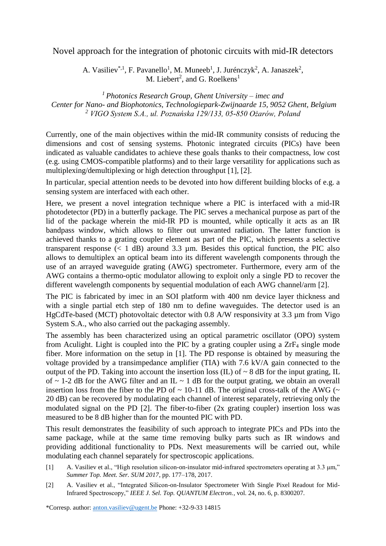## Novel approach for the integration of photonic circuits with mid-IR detectors

A. Vasiliev<sup>\*,1</sup>, F. Pavanello<sup>1</sup>, M. Muneeb<sup>1</sup>, J. Jurénczyk<sup>2</sup>, A. Janaszek<sup>2</sup>, M. Liebert<sup>2</sup>, and G. Roelkens<sup>1</sup>

*<sup>1</sup> Photonics Research Group, Ghent University – imec and Center for Nano- and Biophotonics, Technologiepark-Zwijnaarde 15, 9052 Ghent, Belgium <sup>2</sup> VIGO System S.A., ul. Poznańska 129/133, 05-850 Ożarów, Poland*

Currently, one of the main objectives within the mid-IR community consists of reducing the dimensions and cost of sensing systems. Photonic integrated circuits (PICs) have been indicated as valuable candidates to achieve these goals thanks to their compactness, low cost (e.g. using CMOS-compatible platforms) and to their large versatility for applications such as multiplexing/demultiplexing or high detection throughput [1], [2].

In particular, special attention needs to be devoted into how different building blocks of e.g. a sensing system are interfaced with each other.

Here, we present a novel integration technique where a PIC is interfaced with a mid-IR photodetector (PD) in a butterfly package. The PIC serves a mechanical purpose as part of the lid of the package wherein the mid-IR PD is mounted, while optically it acts as an IR bandpass window, which allows to filter out unwanted radiation. The latter function is achieved thanks to a grating coupler element as part of the PIC, which presents a selective transparent response  $(< 1$  dB) around 3.3  $\mu$ m. Besides this optical function, the PIC also allows to demultiplex an optical beam into its different wavelength components through the use of an arrayed waveguide grating (AWG) spectrometer. Furthermore, every arm of the AWG contains a thermo-optic modulator allowing to exploit only a single PD to recover the different wavelength components by sequential modulation of each AWG channel/arm [2].

The PIC is fabricated by imec in an SOI platform with 400 nm device layer thickness and with a single partial etch step of 180 nm to define waveguides. The detector used is an HgCdTe-based (MCT) photovoltaic detector with 0.8 A/W responsivity at 3.3 µm from Vigo System S.A., who also carried out the packaging assembly.

The assembly has been characterized using an optical parametric oscillator (OPO) system from Aculight. Light is coupled into the PIC by a grating coupler using a ZrF<sup>4</sup> single mode fiber. More information on the setup in [1]. The PD response is obtained by measuring the voltage provided by a transimpedance amplifier (TIA) with 7.6 kV/A gain connected to the output of the PD. Taking into account the insertion loss (IL) of  $\sim 8$  dB for the input grating, IL of  $\sim$  1-2 dB for the AWG filter and an IL  $\sim$  1 dB for the output grating, we obtain an overall insertion loss from the fiber to the PD of  $\sim$  10-11 dB. The original cross-talk of the AWG ( $\sim$ 20 dB) can be recovered by modulating each channel of interest separately, retrieving only the modulated signal on the PD [2]. The fiber-to-fiber (2x grating coupler) insertion loss was measured to be 8 dB higher than for the mounted PIC with PD.

This result demonstrates the feasibility of such approach to integrate PICs and PDs into the same package, while at the same time removing bulky parts such as IR windows and providing additional functionality to PDs. Next measurements will be carried out, while modulating each channel separately for spectroscopic applications.

- [1] A. Vasiliev et al., "High resolution silicon-on-insulator mid-infrared spectrometers operating at 3.3 μm," *Summer Top. Meet. Ser. SUM 2017*, pp. 177–178, 2017.
- [2] A. Vasiliev et al., "Integrated Silicon-on-Insulator Spectrometer With Single Pixel Readout for Mid-Infrared Spectroscopy," *IEEE J. Sel. Top. QUANTUM Electron.*, vol. 24, no. 6, p. 8300207.